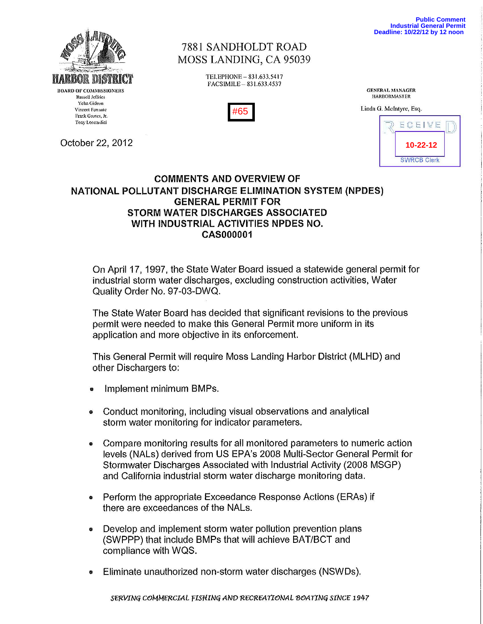**Public Comment Industrial General Permit Deadline: 10/22/12 by 12 noon** 



October 22,2012

7881 SANDHOLDT ROAD MOSS LANDING, CA 95039

> TELEPHONE - 831.633.5417 FACSIMILE - 831.633.4537



**GENERAL MANAGER HARBORMASTER** 

**Linda G. McIntyre,** Esq,



## **COMMENTS AND OVERVIEW OF NATIONAL POLLUTANT DISCHARGE ELIMINATION SYSTEM (NPDES) GENERAL PERMIT FOR STORM WATER DISCHARGES ASSOCIATED WITH INDUSTRIAL ACTIVITIES NPDES NO. CAS000001**

On April 17, 1997, the State Water Board issued a statewide general permit for industrial storm water discharges, excluding construction activities, Water Quality Order No. 97-03-DWQ.

The State Water Board has decided that significant revisions to the previous permit were needed to make this General Permit more uniform in its application and more objective in its enforcement.

This General Permit will require Moss Landing Harbor District (MLHD) and other Dischargers to:

- Implement minimum BMPs.
- Conduct monitoring, including visual observations and analytical storm water monitoring for indicator parameters.
- Compare monitoring results for all monitored parameters to numeric action levels (NALs) derived from US EPA's 2008 Multi-Sector General Permit for Stormwater Discharges Associated with Industrial Activity (2008 MSGP) and California industrial storm water discharge monitoring data.
- Perform the appropriate Exceedance Response Actions (ERAs) if there are exceedances of the NALs.
- Develop and implement storm water pollution prevention plans (SWPPP) that include BMPs that will achieve BAT/BCT and compliance with WQS.
- Eliminate unauthorized non-storm water discharges (NSWDs).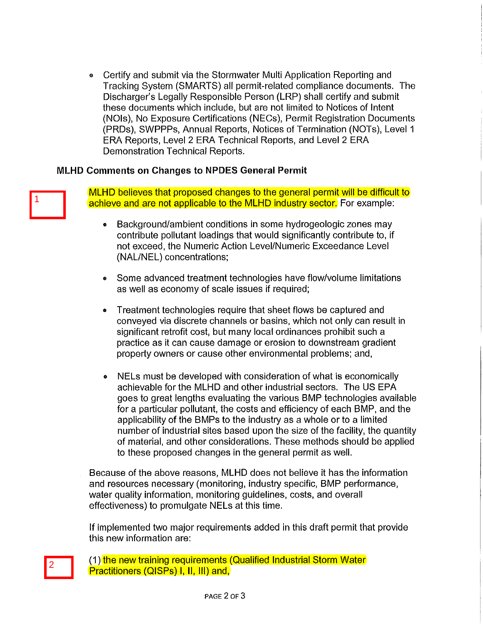<sup>9</sup>Certify and submit via the Stormwater Multi Application Reporting and Tracking System (SMARTS) all permit-related compliance documents. The Discharger's Legally Responsible Person (LRP) shall certify and submit these documents which include, but are not limited to Notices of Intent (NOls), No Exposure Certifications (NECs), Permit Registration Documents (PRDs), SWPPPs, Annual Reports, Notices of Termination (NOTs), Level 1 ERA Reports, Level 2 ERA Technical Reports, and Level 2 ERA Demonstration Technical Reports.

## MLHD Comments on Changes to NPDES General Permit



2

MLHD believes that proposed changes to the general permit will be difficult to achieve and are not applicable to the MLHD industry sector. For example:

- Background/ambient conditions in some hydrogeologic zones may contribute pollutant loadings that would significantly contribute to, if not exceed, the Numeric Action Level/Numeric Exceedance Level (NALINEL) concentrations;
- Some advanced treatment technologies have flow/volume limitations as well as economy of scale issues if required;
- Treatment technologies require that sheet flows be captured and conveyed via discrete channels or basins, which not only can result in significant retrofit cost, but many local ordinances prohibit such a practice as it can cause damage or erosion to downstream gradient property owners or cause other environmental problems; and,
- NELs must be developed with consideration of what is economically achievable for the MLHD and other industrial sectors. The US EPA goes to great lengths evaluating the various BMP technologies available for a particular pollutant, the costs and efficiency of each BMP, and the applicability of the BMPs to the industry as a whole or to a limited number of industrial sites based upon the size of the facility, the quantity of material, and other considerations. These methods should be applied to these proposed changes in the general permit as well.

Because of the above reasons, MLHD does not believe it has the information and resources necessary (monitoring, industry specific, BMP performance, water quality information, monitoring guidelines, costs, and overall effectiveness) to promulgate NELs at this time.

If implemented two major requirements added in this draft permit that provide this new information are:

(1) the new training requirements (Qualified Industrial Storm Water Practitioners (QISPs) I, II, III) and,